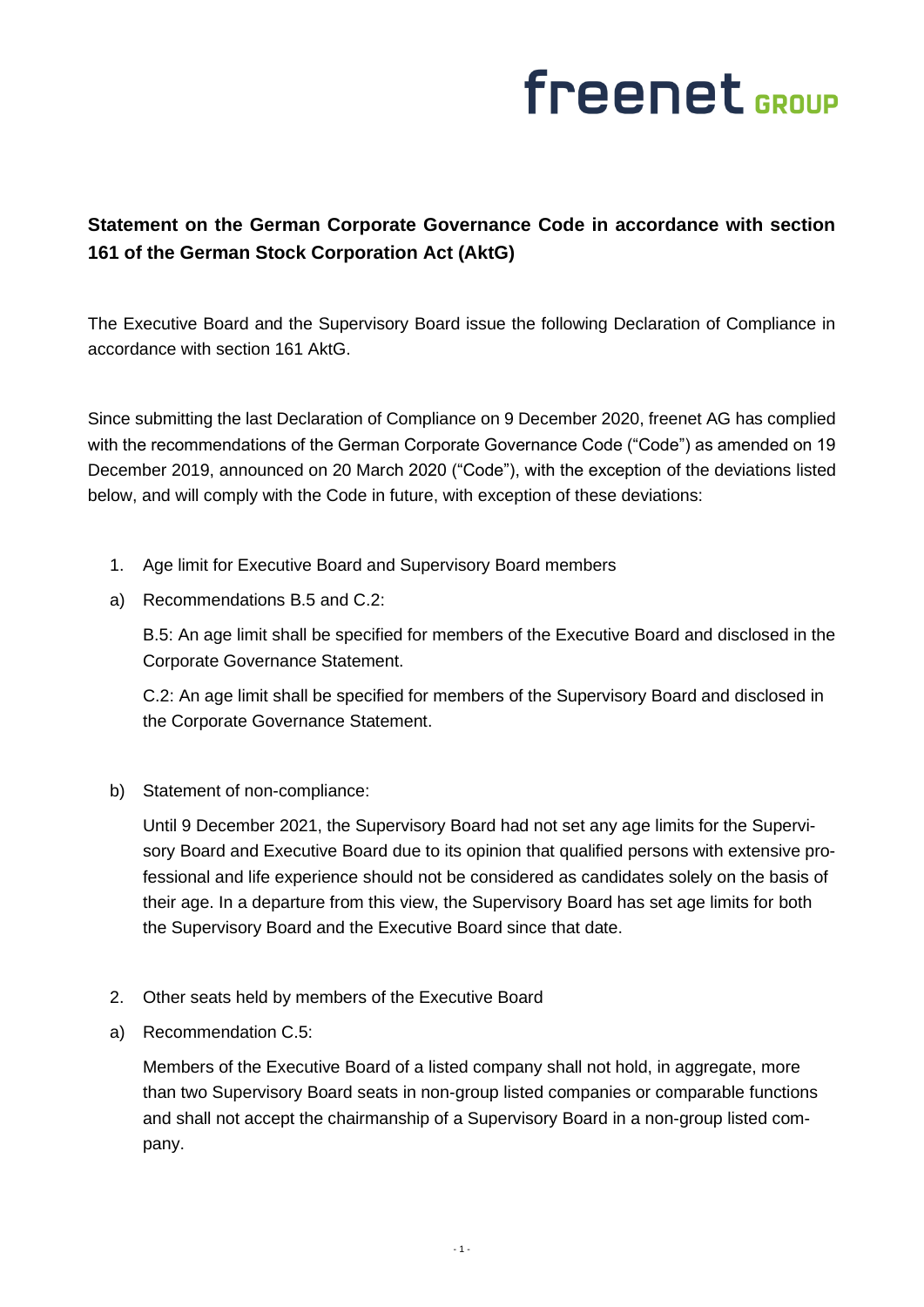## freenet GROUP

## **Statement on the German Corporate Governance Code in accordance with section 161 of the German Stock Corporation Act (AktG)**

The Executive Board and the Supervisory Board issue the following Declaration of Compliance in accordance with section 161 AktG.

Since submitting the last Declaration of Compliance on 9 December 2020, freenet AG has complied with the recommendations of the German Corporate Governance Code ("Code") as amended on 19 December 2019, announced on 20 March 2020 ("Code"), with the exception of the deviations listed below, and will comply with the Code in future, with exception of these deviations:

- 1. Age limit for Executive Board and Supervisory Board members
- a) Recommendations B.5 and C.2:

B.5: An age limit shall be specified for members of the Executive Board and disclosed in the Corporate Governance Statement.

C.2: An age limit shall be specified for members of the Supervisory Board and disclosed in the Corporate Governance Statement.

b) Statement of non-compliance:

Until 9 December 2021, the Supervisory Board had not set any age limits for the Supervisory Board and Executive Board due to its opinion that qualified persons with extensive professional and life experience should not be considered as candidates solely on the basis of their age. In a departure from this view, the Supervisory Board has set age limits for both the Supervisory Board and the Executive Board since that date.

- 2. Other seats held by members of the Executive Board
- a) Recommendation C.5:

Members of the Executive Board of a listed company shall not hold, in aggregate, more than two Supervisory Board seats in non-group listed companies or comparable functions and shall not accept the chairmanship of a Supervisory Board in a non-group listed company.